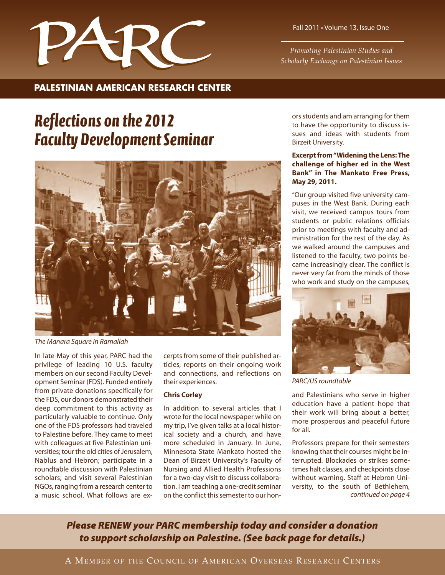

**PALESTINIAN AMERICAN RESEARCH CENTER**

*Promoting Palestinian Studies and Scholarly Exchange on Palestinian Issues*

## *Reflections on the 2012 Faculty Development Seminar*



*The Manara Square in Ramallah*

In late May of this year, PARC had the privilege of leading 10 U.S. faculty members on our second Faculty Development Seminar (FDS). Funded entirely from private donations specifically for the FDS, our donors demonstrated their deep commitment to this activity as particularly valuable to continue. Only one of the FDS professors had traveled to Palestine before. They came to meet with colleagues at five Palestinian universities; tour the old cities of Jerusalem, Nablus and Hebron; participate in a roundtable discussion with Palestinian scholars; and visit several Palestinian NGOs, ranging from a research center to a music school. What follows are excerpts from some of their published articles, reports on their ongoing work and connections, and reflections on their experiences.

#### **Chris Corley**

In addition to several articles that I wrote for the local newspaper while on my trip, I've given talks at a local historical society and a church, and have more scheduled in January. In June, Minnesota State Mankato hosted the Dean of Birzeit University's Faculty of Nursing and Allied Health Professions for a two-day visit to discuss collaboration. I am teaching a one-credit seminar on the conflict this semester to our honors students and am arranging for them to have the opportunity to discuss issues and ideas with students from Birzeit University.

#### **Excerpt from"Widening the Lens: The challenge of higher ed in the West Bank" in The Mankato Free Press, May 29, 2011.**

"Our group visited five university campuses in the West Bank. During each visit, we received campus tours from students or public relations officials prior to meetings with faculty and administration for the rest of the day. As we walked around the campuses and listened to the faculty, two points became increasingly clear. The conflict is never very far from the minds of those who work and study on the campuses,



*PARC/IJS roundtable*

and Palestinians who serve in higher education have a patient hope that their work will bring about a better, more prosperous and peaceful future for all.

Professors prepare for their semesters knowing that their courses might be interrupted. Blockades or strikes sometimes halt classes, and checkpoints close without warning. Staff at Hebron University, to the south of Bethlehem, *continued on page 4*

*Please RENEW your PARC membership today and consider a donation to support scholarship on Palestine. (See back page for details.)*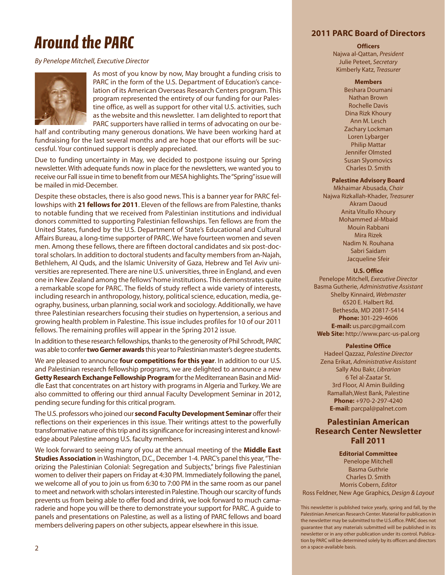# *Around the PARC*

#### *By Penelope Mitchell, Executive Director*



As most of you know by now, May brought a funding crisis to PARC in the form of the U.S. Department of Education's cancelation of its American Overseas Research Centers program. This program represented the entirety of our funding for our Palestine office, as well as support for other vital U.S. activities, such as the website and this newsletter. I am delighted to report that PARC supporters have rallied in terms of advocating on our be-

half and contributing many generous donations. We have been working hard at fundraising for the last several months and are hope that our efforts will be successful. Your continued support is deeply appreciated.

Due to funding uncertainty in May, we decided to postpone issuing our Spring newsletter. With adequate funds now in place for the newsletters, we wanted you to receive our Fall issue in time to benefit from our MESA highlights.The"Spring"issue will be mailed in mid-December.

Despite these obstacles, there is also good news. This is a banner year for PARC fellowships with **21 fellows for 2011**. Eleven of the fellows are from Palestine, thanks to notable funding that we received from Palestinian institutions and individual donors committed to supporting Palestinian fellowships. Ten fellows are from the United States, funded by the U.S. Department of State's Educational and Cultural Affairs Bureau, a long-time supporter of PARC. We have fourteen women and seven men. Among these fellows, there are fifteen doctoral candidates and six post-doctoral scholars. In addition to doctoral students and faculty members from an-Najah, Bethlehem, Al Quds, and the Islamic University of Gaza, Hebrew and Tel Aviv universities are represented. There are nine U.S. universities, three in England, and even one in New Zealand among the fellows'home institutions. This demonstrates quite a remarkable scope for PARC. The fields of study reflect a wide variety of interests, including research in anthropology, history, political science, education, media, geography, business, urban planning, social work and sociology. Additionally, we have three Palestinian researchers focusing their studies on hypertension, a serious and growing health problem in Palestine. This issue includes profiles for 10 of our 2011 fellows. The remaining profiles will appear in the Spring 2012 issue.

In addition to these research fellowships, thanks to the generosity of Phil Schrodt, PARC was able to confer**two Gerner awards** this year to Palestinian master's degree students.

We are pleased to announce **four competitions for this year**. In addition to our U.S. and Palestinian research fellowship programs, we are delighted to announce a new **Getty Research Exchange Fellowship Program**for the Mediterranean Basin and Middle East that concentrates on art history with programs in Algeria and Turkey. We are also committed to offering our third annual Faculty Development Seminar in 2012, pending secure funding for this critical program.

The U.S. professors who joined our **second Faculty Development Seminar** offer their reflections on their experiences in this issue. Their writings attest to the powerfully transformative nature of this trip and its significance for increasing interest and knowledge about Palestine among U.S. faculty members.

We look forward to seeing many of you at the annual meeting of the **Middle East Studies Association** in Washington, D.C., December 1-4. PARC's panel this year, "Theorizing the Palestinian Colonial: Segregation and Subjects," brings five Palestinian women to deliver their papers on Friday at 4:30 PM. Immediately following the panel, we welcome all of you to join us from 6:30 to 7:00 PM in the same room as our panel to meet and network with scholars interested in Palestine.Though our scarcity of funds prevents us from being able to offer food and drink, we look forward to much camaraderie and hope you will be there to demonstrate your support for PARC. A guide to panels and presentations on Palestine, as well as a listing of PARC fellows and board members delivering papers on other subjects, appear elsewhere in this issue.

#### **2011 PARC Board of Directors**

#### **Officers**

Najwa al-Qattan, *President* Julie Peteet, *Secretary* Kimberly Katz, *Treasurer*

#### **Members**

Beshara Doumani Nathan Brown Rochelle Davis Dina Rizk Khoury Ann M. Lesch Zachary Lockman Loren Lybarger Philip Mattar Jennifer Olmsted Susan Slyomovics Charles D. Smith

#### **Palestine Advisory Board**

Mkhaimar Abusada, *Chair* Najwa Rizkallah-Khader, *Treasurer* Akram Daoud Anita Vitullo Khoury Mohammed al-Mbaid Mouin Rabbani Mira Rizek Nadim N. Rouhana Sabri Saidam Jacqueline Sfeir

#### **U.S. Office**

Penelope Mitchell, *Executive Director* Basma Gutherie, *Administrative Assistant* Shelby Kinnaird, *Webmaster* 6520 E. Halbert Rd. Bethesda, MD 20817-5414 **Phone:** 301-229-4606 **E-mail:** us.parc@gmail.com **Web Site:** http://www.parc-us-pal.org

#### **Palestine Office**

Hadeel Qazzaz, *Palestine Director* Zena Erikat, *Administrative Assistant* Sally Abu Bakr, *Librarian* 6 Tel al-Zaatar St. 3rd Floor, Al Amin Building Ramallah,West Bank, Palestine **Phone:** +970-2-297-4240 **E-mail:** parcpal@palnet.com

#### **Palestinian American Research Center Newsletter Fall 2011**

**Editorial Committee** Penelope Mitchell Basma Guthrie Charles D. Smith Morris Cobern, *Editor* Ross Feldner, New Age Graphics, *Design & Layout*

This newsletter is published twice yearly, spring and fall, by the Palestinian American Research Center. Material for publication in the newsletter may be submitted to the U.S.office. PARC does not guarantee that any materials submitted will be published in its newsletter or in any other publication under its control. Publication by PARC will be determined solely by its officers and directors on a space-available basis.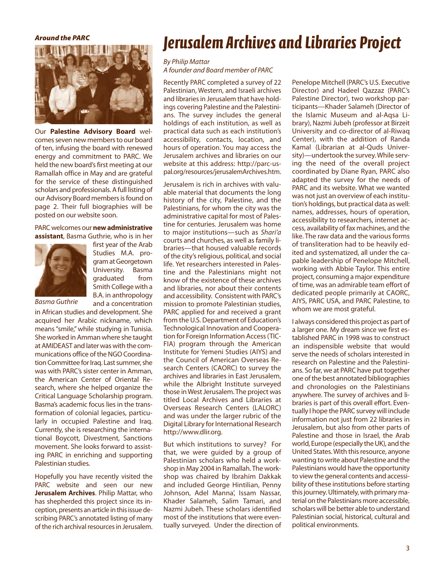#### *Around the PARC*



Our **Palestine Advisory Board** welcomes seven new members to our board of ten, infusing the board with renewed energy and commitment to PARC. We held the new board's first meeting at our Ramallah office in May and are grateful for the service of these distinguished scholars and professionals. A full listing of our Advisory Board members is found on page 2. Their full biographies will be posted on our website soon.

#### PARC welcomes our**new administrative assistant**, Basma Guthrie, who is in her



first year of the Arab Studies M.A. program at Georgetown University. Basma graduated from Smith College with a B.A. in anthropology and a concentration

*Basma Guthrie*

in African studies and development. She acquired her Arabic nickname, which means "smile," while studying in Tunisia. She worked in Amman where she taught at AMIDEAST and later was with the communications office of the NGO Coordination Committee for Iraq. Last summer, she was with PARC's sister center in Amman, the American Center of Oriental Research, where she helped organize the Critical Language Scholarship program. Basma's academic focus lies in the transformation of colonial legacies, particularly in occupied Palestine and Iraq. Currently, she is researching the international Boycott, Divestment, Sanctions movement. She looks forward to assisting PARC in enriching and supporting Palestinian studies.

Hopefully you have recently visited the PARC website and seen our new **Jerusalem Archives**. Philip Mattar, who has shepherded this project since its inception, presents an article in this issue describing PARC's annotated listing of many of the rich archival resources in Jerusalem.

## *Jerusalem Archives and Libraries Project*

#### *By Philip Mattar*

*A founder and Board member of PARC*

Recently PARC completed a survey of 22 Palestinian, Western, and Israeli archives and libraries in Jerusalem that have holdings covering Palestine and the Palestinians. The survey includes the general holdings of each institution, as well as practical data such as each institution's accessibility, contacts, location, and hours of operation. You may access the Jerusalem archives and libraries on our website at this address: http://parc-uspal.org/resources/jerusalemArchives.htm.

Jerusalem is rich in archives with valuable material that documents the long history of the city, Palestine, and the Palestinians, for whom the city was the administrative capital for most of Palestine for centuries. Jerusalem was home to major institutions—such as *Shari'a* courts and churches, as well as family libraries—that housed valuable records of the city's religious, political, and social life. Yet researchers interested in Palestine and the Palestinians might not know of the existence of these archives and libraries, nor about their contents and accessibility. Consistent with PARC's mission to promote Palestinian studies, PARC applied for and received a grant from the U.S. Department of Education's Technological Innovation and Cooperation for Foreign Information Access (TIC-FIA) program through the American Institute for Yemeni Studies (AIYS) and the Council of American Overseas Research Centers (CAORC) to survey the archives and libraries in East Jerusalem, while the Albright Institute surveyed those in West Jerusalem. The project was titled Local Archives and Libraries at Overseas Research Centers (LALORC) and was under the larger rubric of the Digital Library for International Research http://www.dlir.org.

But which institutions to survey? For that, we were guided by a group of Palestinian scholars who held a workshop in May 2004 in Ramallah. The workshop was chaired by Ibrahim Dakkak and included George Hintilian, Penny Johnson, Adel Manna', Issam Nassar, Khader Salameh, Salim Tamari, and Nazmi Jubeh. These scholars identified most of the institutions that were eventually surveyed. Under the direction of Penelope Mitchell (PARC's U.S. Executive Director) and Hadeel Qazzaz (PARC's Palestine Director), two workshop participants—Khader Salameh (Director of the Islamic Museum and al-Aqsa Library), Nazmi Jubeh (professor at Birzeit University and co-director of al-Riwaq Center), with the addition of Randa Kamal (Librarian at al-Quds University)—undertook the survey. While serving the need of the overall project coordinated by Diane Ryan, PARC also adapted the survey for the needs of PARC and its website. What we wanted was not just an overview of each institution's holdings, but practical data as well: names, addresses, hours of operation, accessibility to researchers, internet access, availability of fax machines, and the like. The raw data and the various forms of transliteration had to be heavily edited and systematized, all under the capable leadership of Penelope Mitchell, working with Abbie Taylor. This entire project, consuming a major expenditure of time, was an admirable team effort of dedicated people primarily at CAORC, AIYS, PARC USA, and PARC Palestine, to whom we are most grateful.

I always considered this project as part of a larger one. My dream since we first established PARC in 1998 was to construct an indispensible website that would serve the needs of scholars interested in research on Palestine and the Palestinians. So far, we at PARC have put together one of the best annotated bibliographies and chronologies on the Palestinians anywhere. The survey of archives and libraries is part of this overall effort. Eventually I hope the PARC survey will include information not just from 22 libraries in Jerusalem, but also from other parts of Palestine and those in Israel, the Arab world, Europe (especially the UK), and the United States. With this resource, anyone wanting to write about Palestine and the Palestinians would have the opportunity to view the general contents and accessibility of these institutions before starting this journey. Ultimately, with primary material on the Palestinians more accessible, scholars will be better able to understand Palestinian social, historical, cultural and political environments.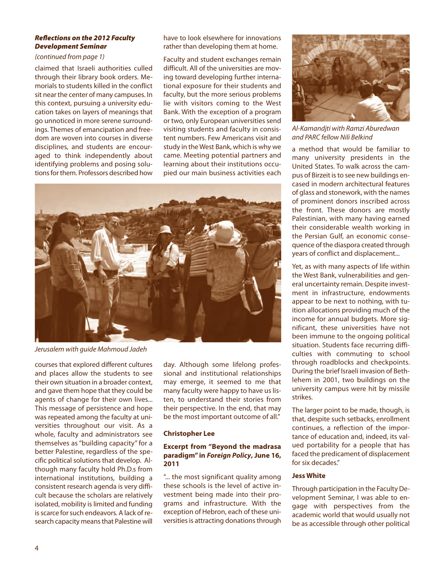#### *Reflections on the 2012 Faculty Development Seminar*

#### *(continued from page 1)*

claimed that Israeli authorities culled through their library book orders. Memorials to students killed in the conflict sit near the center of many campuses. In this context, pursuing a university education takes on layers of meanings that go unnoticed in more serene surroundings. Themes of emancipation and freedom are woven into courses in diverse disciplines, and students are encouraged to think independently about identifying problems and posing solutions for them. Professors described how

have to look elsewhere for innovations rather than developing them at home.

Faculty and student exchanges remain difficult. All of the universities are moving toward developing further international exposure for their students and faculty, but the more serious problems lie with visitors coming to the West Bank. With the exception of a program or two, only European universities send visiting students and faculty in consistent numbers. Few Americans visit and study in the West Bank, which is why we came. Meeting potential partners and learning about their institutions occupied our main business activities each



*Jerusalem with guide Mahmoud Jadeh*

courses that explored different cultures and places allow the students to see their own situation in a broader context, and gave them hope that they could be agents of change for their own lives... This message of persistence and hope was repeated among the faculty at universities throughout our visit. As a whole, faculty and administrators see themselves as "building capacity" for a better Palestine, regardless of the specific political solutions that develop. Although many faculty hold Ph.D.s from international institutions, building a consistent research agenda is very difficult because the scholars are relatively isolated, mobility is limited and funding is scarce for such endeavors. A lack of research capacity means that Palestine will

day. Although some lifelong professional and institutional relationships may emerge, it seemed to me that many faculty were happy to have us listen, to understand their stories from their perspective. In the end, that may be the most important outcome of all."

#### **Christopher Lee**

#### **Excerpt from "Beyond the madrasa paradigm" in** *Foreign Policy***, June 16, 2011**

"... the most significant quality among these schools is the level of active investment being made into their programs and infrastructure. With the exception of Hebron, each of these universities is attracting donations through



*Al-Kamandjti with Ramzi Aburedwan and PARC fellow Nili Belkind*

a method that would be familiar to many university presidents in the United States. To walk across the campus of Birzeit is to see new buildings encased in modern architectural features of glass and stonework, with the names of prominent donors inscribed across the front. These donors are mostly Palestinian, with many having earned their considerable wealth working in the Persian Gulf, an economic consequence of the diaspora created through years of conflict and displacement...

Yet, as with many aspects of life within the West Bank, vulnerabilities and general uncertainty remain. Despite investment in infrastructure, endowments appear to be next to nothing, with tuition allocations providing much of the income for annual budgets. More significant, these universities have not been immune to the ongoing political situation. Students face recurring difficulties with commuting to school through roadblocks and checkpoints. During the brief Israeli invasion of Bethlehem in 2001, two buildings on the university campus were hit by missile strikes.

The larger point to be made, though, is that, despite such setbacks, enrollment continues, a reflection of the importance of education and, indeed, its valued portability for a people that has faced the predicament of displacement for six decades."

#### **Jess White**

Through participation in the Faculty Development Seminar, I was able to engage with perspectives from the academic world that would usually not be as accessible through other political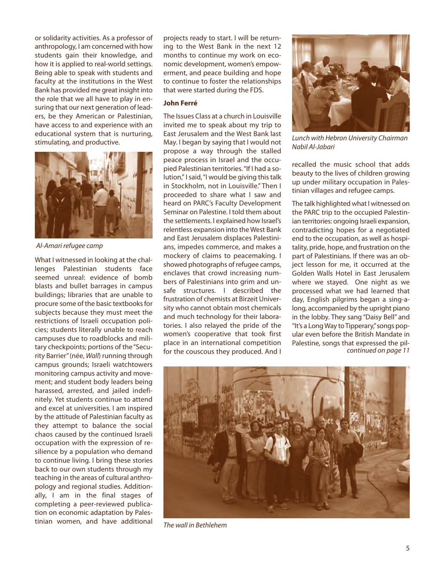or solidarity activities. As a professor of anthropology, I am concerned with how students gain their knowledge, and how it is applied to real-world settings. Being able to speak with students and faculty at the institutions in the West Bank has provided me great insight into the role that we all have to play in ensuring that our next generation of leaders, be they American or Palestinian, have access to and experience with an educational system that is nurturing, stimulating, and productive.



*Al-Amari refugee camp*

What I witnessed in looking at the challenges Palestinian students face seemed unreal: evidence of bomb blasts and bullet barrages in campus buildings; libraries that are unable to procure some of the basic textbooks for subjects because they must meet the restrictions of Israeli occupation policies; students literally unable to reach campuses due to roadblocks and military checkpoints; portions of the "Security Barrier"(née, *Wall*) running through campus grounds; Israeli watchtowers monitoring campus activity and movement; and student body leaders being harassed, arrested, and jailed indefinitely. Yet students continue to attend and excel at universities. I am inspired by the attitude of Palestinian faculty as they attempt to balance the social chaos caused by the continued Israeli occupation with the expression of resilience by a population who demand to continue living. I bring these stories back to our own students through my teaching in the areas of cultural anthropology and regional studies. Additionally, I am in the final stages of completing a peer-reviewed publication on economic adaptation by Palestinian women, and have additional

projects ready to start. I will be returning to the West Bank in the next 12 months to continue my work on economic development, women's empowerment, and peace building and hope to continue to foster the relationships that were started during the FDS.

#### **John Ferré**

The Issues Class at a church in Louisville invited me to speak about my trip to East Jerusalem and the West Bank last May. I began by saying that I would not propose a way through the stalled peace process in Israel and the occupied Palestinian territories."If I had a solution," I said,"I would be giving this talk in Stockholm, not in Louisville." Then I proceeded to share what I saw and heard on PARC's Faculty Development Seminar on Palestine. I told them about the settlements. I explained how Israel's relentless expansion into the West Bank and East Jerusalem displaces Palestinians, impedes commerce, and makes a mockery of claims to peacemaking. I showed photographs of refugee camps, enclaves that crowd increasing numbers of Palestinians into grim and unsafe structures. I described the frustration of chemists at Birzeit University who cannot obtain most chemicals and much technology for their laboratories. I also relayed the pride of the women's cooperative that took first place in an international competition for the couscous they produced. And I



*Lunch with Hebron University Chairman Nabil Al-Jabari*

recalled the music school that adds beauty to the lives of children growing up under military occupation in Palestinian villages and refugee camps.

*continued on page 11* The talk highlighted what I witnessed on the PARC trip to the occupied Palestinian territories: ongoing Israeli expansion, contradicting hopes for a negotiated end to the occupation, as well as hospitality, pride, hope, and frustration on the part of Palestinians. If there was an object lesson for me, it occurred at the Golden Walls Hotel in East Jerusalem where we stayed. One night as we processed what we had learned that day, English pilgrims began a sing-along, accompanied by the upright piano in the lobby. They sang "Daisy Bell" and "It's a Long Way to Tipperary,"songs popular even before the British Mandate in Palestine, songs that expressed the pil-



*The wall in Bethlehem*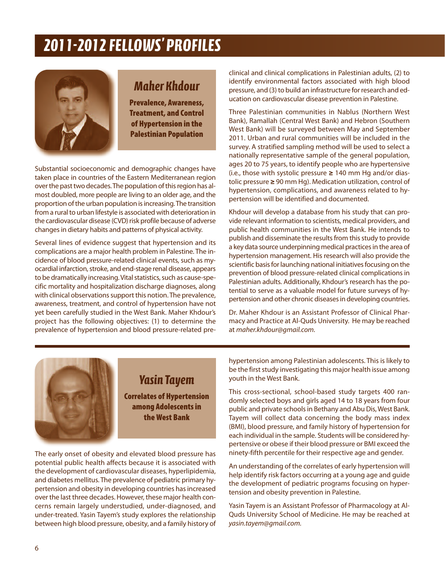## *2011-2012 FeLLowS' PRoFILeS*



### *Maher Khdour*

**Prevalence, Awareness, Treatment, and Control of Hypertension in the Palestinian Population**

Substantial socioeconomic and demographic changes have taken place in countries of the Eastern Mediterranean region over the past two decades. The population of this region has almost doubled, more people are living to an older age, and the proportion of the urban population is increasing. The transition from a rural to urban lifestyle is associated with deterioration in the cardiovascular disease (CVD) risk profile because of adverse changes in dietary habits and patterns of physical activity.

Several lines of evidence suggest that hypertension and its complications are a major health problem in Palestine. The incidence of blood pressure-related clinical events, such as myocardial infarction, stroke, and end-stage renal disease, appears to be dramatically increasing. Vital statistics, such as cause-specific mortality and hospitalization discharge diagnoses, along with clinical observations support this notion. The prevalence, awareness, treatment, and control of hypertension have not yet been carefully studied in the West Bank. Maher Khdour's project has the following objectives: (1) to determine the prevalence of hypertension and blood pressure-related preclinical and clinical complications in Palestinian adults, (2) to identify environmental factors associated with high blood pressure, and (3) to build an infrastructure for research and education on cardiovascular disease prevention in Palestine.

Three Palestinian communities in Nablus (Northern West Bank), Ramallah (Central West Bank) and Hebron (Southern West Bank) will be surveyed between May and September 2011. Urban and rural communities will be included in the survey. A stratified sampling method will be used to select a nationally representative sample of the general population, ages 20 to 75 years, to identify people who are hypertensive (i.e., those with systolic pressure **≥** 140 mm Hg and/or diastolic pressure **≥** 90 mm Hg). Medication utilization, control of hypertension, complications, and awareness related to hypertension will be identified and documented.

Khdour will develop a database from his study that can provide relevant information to scientists, medical providers, and public health communities in the West Bank. He intends to publish and disseminate the results from this study to provide a key data source underpinning medical practices in the area of hypertension management. His research will also provide the scientific basis for launching national initiatives focusing on the prevention of blood pressure-related clinical complications in Palestinian adults. Additionally, Khdour's research has the potential to serve as a valuable model for future surveys of hypertension and other chronic diseases in developing countries.

Dr. Maher Khdour is an Assistant Professor of Clinical Pharmacy and Practice at Al-Quds University. He may be reached at *maher.khdour@gmail.com.*



## *Yasin Tayem* **Correlates of Hypertension**

**among Adolescents in the West Bank**

The early onset of obesity and elevated blood pressure has potential public health affects because it is associated with the development of cardiovascular diseases, hyperlipidemia, and diabetes mellitus. The prevalence of pediatric primary hypertension and obesity in developing countries has increased over the last three decades. However, these major health concerns remain largely understudied, under-diagnosed, and under-treated. Yasin Tayem's study explores the relationship between high blood pressure, obesity, and a family history of hypertension among Palestinian adolescents. This is likely to be the first study investigating this major health issue among youth in the West Bank.

This cross-sectional, school-based study targets 400 randomly selected boys and girls aged 14 to 18 years from four public and private schools in Bethany and Abu Dis, West Bank. Tayem will collect data concerning the body mass index (BMI), blood pressure, and family history of hypertension for each individual in the sample. Students will be considered hypertensive or obese if their blood pressure or BMI exceed the ninety-fifth percentile for their respective age and gender.

An understanding of the correlates of early hypertension will help identify risk factors occurring at a young age and guide the development of pediatric programs focusing on hypertension and obesity prevention in Palestine.

Yasin Tayem is an Assistant Professor of Pharmacology at Al-Quds University School of Medicine. He may be reached at *yasin.tayem@gmail.com.*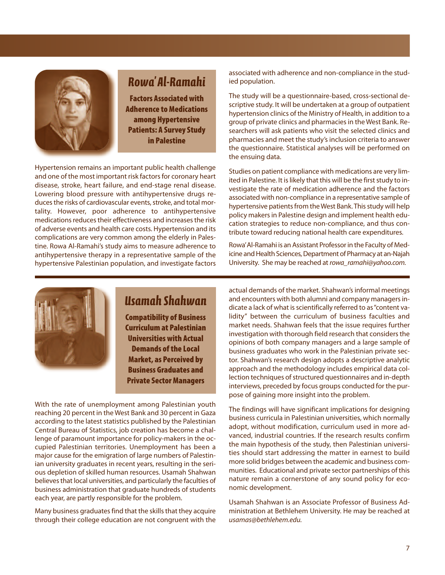

## *Rowa' Al-Ramahi*

**Factors Associated with Adherence to Medications among Hypertensive Patients: A Survey Study in Palestine**

Hypertension remains an important public health challenge and one of the most important risk factors for coronary heart disease, stroke, heart failure, and end-stage renal disease. Lowering blood pressure with antihypertensive drugs reduces the risks of cardiovascular events, stroke, and total mortality. However, poor adherence to antihypertensive medications reduces their effectiveness and increases the risk of adverse events and health care costs. Hypertension and its complications are very common among the elderly in Palestine. Rowa Al-Ramahi's study aims to measure adherence to antihypertensive therapy in a representative sample of the hypertensive Palestinian population, and investigate factors

associated with adherence and non-compliance in the studied population.

The study will be a questionnaire-based, cross-sectional descriptive study. It will be undertaken at a group of outpatient hypertension clinics of the Ministry of Health, in addition to a group of private clinics and pharmacies in the West Bank. Researchers will ask patients who visit the selected clinics and pharmacies and meet the study's inclusion criteria to answer the questionnaire. Statistical analyses will be performed on the ensuing data.

Studies on patient compliance with medications are very limited in Palestine. It is likely that this will be the first study to investigate the rate of medication adherence and the factors associated with non-compliance in a representative sample of hypertensive patients from the West Bank. This study will help policy makers in Palestine design and implement health education strategies to reduce non-compliance, and thus contribute toward reducing national health care expenditures.

Rowa'Al-Ramahi is an Assistant Professor in the Faculty of Medicine and Health Sciences, Department of Pharmacy at an-Najah University. She may be reached at *rowa\_ramahi@yahoo.com.*



### *Usamah Shahwan*

**Compatibility of Business Curriculum at Palestinian Universities with Actual Demands of the Local Market, as Perceived by Business Graduates and Private Sector Managers**

With the rate of unemployment among Palestinian youth reaching 20 percent in the West Bank and 30 percent in Gaza according to the latest statistics published by the Palestinian Central Bureau of Statistics, job creation has become a challenge of paramount importance for policy-makers in the occupied Palestinian territories. Unemployment has been a major cause for the emigration of large numbers of Palestinian university graduates in recent years, resulting in the serious depletion of skilled human resources. Usamah Shahwan believes that local universities, and particularly the faculties of business administration that graduate hundreds of students each year, are partly responsible for the problem.

Many business graduates find that the skills that they acquire through their college education are not congruent with the

actual demands of the market. Shahwan's informal meetings and encounters with both alumni and company managers indicate a lack of what is scientifically referred to as"content validity" between the curriculum of business faculties and market needs. Shahwan feels that the issue requires further investigation with thorough field research that considers the opinions of both company managers and a large sample of business graduates who work in the Palestinian private sector. Shahwan's research design adopts a descriptive analytic approach and the methodology includes empirical data collection techniques of structured questionnaires and in-depth interviews, preceded by focus groups conducted for the purpose of gaining more insight into the problem.

The findings will have significant implications for designing business curricula in Palestinian universities, which normally adopt, without modification, curriculum used in more advanced, industrial countries. If the research results confirm the main hypothesis of the study, then Palestinian universities should start addressing the matter in earnest to build more solid bridges between the academic and business communities. Educational and private sector partnerships of this nature remain a cornerstone of any sound policy for economic development.

Usamah Shahwan is an Associate Professor of Business Administration at Bethlehem University. He may be reached at *usamas@bethlehem.edu.*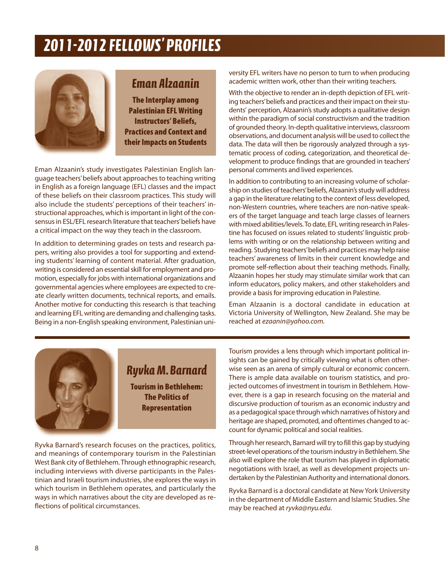## *2011-2012 FeLLowS' PRoFILeS*



### *eman Alzaanin*

**The Interplay among Palestinian EFL Writing Instructors' Beliefs, Practices and Context and their Impacts on Students**

Eman Alzaanin's study investigates Palestinian English language teachers'beliefs about approaches to teaching writing in English as a foreign language (EFL) classes and the impact of these beliefs on their classroom practices. This study will also include the students' perceptions of their teachers' instructional approaches, which is important in light of the consensus in ESL/EFL research literature that teachers'beliefs have a critical impact on the way they teach in the classroom.

In addition to determining grades on tests and research papers, writing also provides a tool for supporting and extending students' learning of content material. After graduation, writing is considered an essential skill for employment and promotion, especially for jobs with international organizations and governmental agencies where employees are expected to create clearly written documents, technical reports, and emails. Another motive for conducting this research is that teaching and learning EFL writing are demanding and challenging tasks. Being in a non-English speaking environment, Palestinian university EFL writers have no person to turn to when producing academic written work, other than their writing teachers.

With the objective to render an in-depth depiction of EFL writing teachers'beliefs and practices and their impact on their students' perception, Alzaanin's study adopts a qualitative design within the paradigm of social constructivism and the tradition of grounded theory. In-depth qualitative interviews, classroom observations, and document analysis will be used to collect the data. The data will then be rigorously analyzed through a systematic process of coding, categorization, and theoretical development to produce findings that are grounded in teachers' personal comments and lived experiences.

In addition to contributing to an increasing volume of scholarship on studies of teachers'beliefs, Alzaanin's study will address a gap in the literature relating to the context of less developed, non-Western countries, where teachers are non-native speakers of the target language and teach large classes of learners with mixed abilities/levels.To date, EFL writing research in Palestine has focused on issues related to students' linguistic problems with writing or on the relationship between writing and reading. Studying teachers'beliefs and practices may help raise teachers' awareness of limits in their current knowledge and promote self-reflection about their teaching methods. Finally, Alzaanin hopes her study may stimulate similar work that can inform educators, policy makers, and other stakeholders and provide a basis for improving education in Palestine.

Eman Alzaanin is a doctoral candidate in education at Victoria University of Wellington, New Zealand. She may be reached at *ezaanin@yahoo.com.*



### *Ryvka M. Barnard*

**Tourism in Bethlehem: The Politics of Representation**

Ryvka Barnard's research focuses on the practices, politics, and meanings of contemporary tourism in the Palestinian West Bank city of Bethlehem. Through ethnographic research, including interviews with diverse participants in the Palestinian and Israeli tourism industries, she explores the ways in which tourism in Bethlehem operates, and particularly the ways in which narratives about the city are developed as reflections of political circumstances.

Tourism provides a lens through which important political insights can be gained by critically viewing what is often otherwise seen as an arena of simply cultural or economic concern. There is ample data available on tourism statistics, and projected outcomes of investment in tourism in Bethlehem. However, there is a gap in research focusing on the material and discursive production of tourism as an economic industry and as a pedagogical space through which narratives of history and heritage are shaped, promoted, and oftentimes changed to account for dynamic political and social realities.

Through her research, Barnard will try to fill this gap by studying street-level operations of the tourism industry in Bethlehem. She also will explore the role that tourism has played in diplomatic negotiations with Israel, as well as development projects undertaken by the Palestinian Authority and international donors.

Ryvka Barnard is a doctoral candidate at New York University in the department of Middle Eastern and Islamic Studies. She may be reached at *ryvka@nyu.edu.*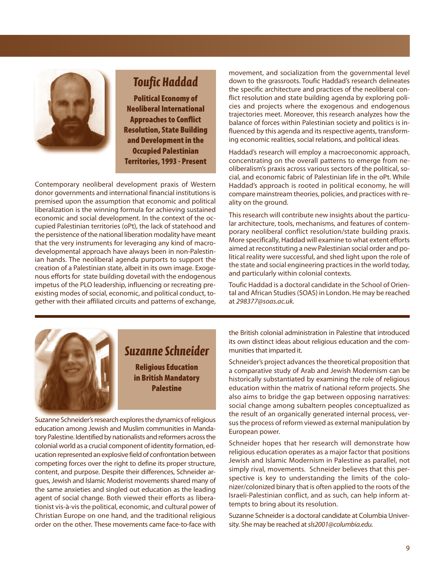

## *Toufic Haddad*

**Political Economy of Neoliberal International Approaches to Conflict Resolution, State Building and Development in the Occupied Palestinian Territories, 1993 - Present**

Contemporary neoliberal development praxis of Western donor governments and international financial institutions is premised upon the assumption that economic and political liberalization is the winning formula for achieving sustained economic and social development. In the context of the occupied Palestinian territories (oPt), the lack of statehood and the persistence of the national liberation modality have meant that the very instruments for leveraging any kind of macrodevelopmental approach have always been in non-Palestinian hands. The neoliberal agenda purports to support the creation of a Palestinian state, albeit in its own image. Exogenous efforts for state building dovetail with the endogenous impetus of the PLO leadership, influencing or recreating preexisting modes of social, economic, and political conduct, together with their affiliated circuits and patterns of exchange,

movement, and socialization from the governmental level down to the grassroots. Toufic Haddad's research delineates the specific architecture and practices of the neoliberal conflict resolution and state building agenda by exploring policies and projects where the exogenous and endogenous trajectories meet. Moreover, this research analyzes how the balance of forces within Palestinian society and politics is influenced by this agenda and its respective agents, transforming economic realities, social relations, and political ideas.

Haddad's research will employ a macroeconomic approach, concentrating on the overall patterns to emerge from neoliberalism's praxis across various sectors of the political, social, and economic fabric of Palestinian life in the oPt. While Haddad's approach is rooted in political economy, he will compare mainstream theories, policies, and practices with reality on the ground.

This research will contribute new insights about the particular architecture, tools, mechanisms, and features of contemporary neoliberal conflict resolution/state building praxis. More specifically, Haddad will examine to what extent efforts aimed at reconstituting a new Palestinian social order and political reality were successful, and shed light upon the role of the state and social engineering practices in the world today, and particularly within colonial contexts.

Toufic Haddad is a doctoral candidate in the School of Oriental and African Studies (SOAS) in London. He may be reached at *298377@soas.ac.uk.*



### *Suzanne Schneider*

**Religious Education in British Mandatory Palestine**

Suzanne Schneider's research explores the dynamics of religious education among Jewish and Muslim communities in Mandatory Palestine. Identified by nationalists and reformers across the colonial world as a crucial component of identity formation, education represented an explosive field of confrontation between competing forces over the right to define its proper structure, content, and purpose. Despite their differences, Schneider argues, Jewish and Islamic Moderist movements shared many of the same anxieties and singled out education as the leading agent of social change. Both viewed their efforts as liberationist vis-à-vis the political, economic, and cultural power of Christian Europe on one hand, and the traditional religious order on the other. These movements came face-to-face with

the British colonial administration in Palestine that introduced its own distinct ideas about religious education and the communities that imparted it.

Schneider's project advances the theoretical proposition that a comparative study of Arab and Jewish Modernism can be historically substantiated by examining the role of religious education within the matrix of national reform projects. She also aims to bridge the gap between opposing narratives: social change among subaltern peoples conceptualized as the result of an organically generated internal process, versus the process of reform viewed as external manipulation by European power.

Schneider hopes that her research will demonstrate how religious education operates as a major factor that positions Jewish and Islamic Modernism in Palestine as parallel, not simply rival, movements. Schneider believes that this perspective is key to understanding the limits of the colonizer/colonized binary that is often applied to the roots of the Israeli-Palestinian conflict, and as such, can help inform attempts to bring about its resolution.

Suzanne Schneider is a doctoral candidate at Columbia University. She may be reached at*sls2001@columbia.edu.*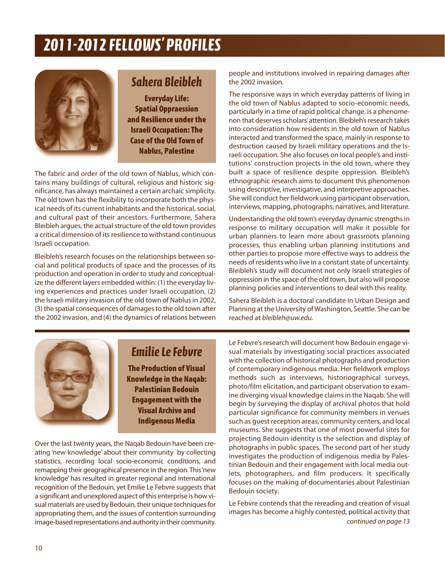## *2011-2012 FeLLowS' PRoFILeS*



## *Sahera Bleibleh*

**Everyday Life: Spatial Oppraession and Resilience under the Israeli Occupation: The Case of the Old Town of Nablus, Palestine**

The fabric and order of the old town of Nablus, which contains many buildings of cultural, religious and historic significance, has always maintained a certain archaic simplicity. The old town has the flexibility to incorporate both the physical needs of its current inhabitants and the historical, social, and cultural past of their ancestors. Furthermore, Sahera Bleibleh argues, the actual structure of the old town provides a critical dimension of its resilience to withstand continuous Israeli occupation.

Bleibleh's research focuses on the relationships between social and political products of space and the processes of its production and operation in order to study and conceptualize the different layers embedded within: (1) the everyday living experiences and practices under Israeli occupation, (2) the Israeli military invasion of the old town of Nablus in 2002, (3) the spatial consequences of damages to the old town after the 2002 invasion, and (4) the dynamics of relations between people and institutions involved in repairing damages after the 2002 invasion.

The responsive ways in which everyday patterns of living in the old town of Nablus adapted to socio-economic needs, particularly in a time of rapid political change, is a phenomenon that deserves scholars'attention. Bleibleh's research takes into consideration how residents in the old town of Nablus interacted and transformed the space, mainly in response to destruction caused by Israeli military operations and the Israeli occupation. She also focuses on local people's and institutions' construction projects in the old town, where they built a space of resilience despite oppression. Bleibleh's ethnographic research aims to document this phenomenon using descriptive, investigative, and interpretive approaches. She will conduct her fieldwork using participant observation, interviews, mapping, photographs, narratives, and literature.

Understanding the old town's everyday dynamic strengths in response to military occupation will make it possible for urban planners to learn more about grassroots planning processes, thus enabling urban planning institutions and other parties to propose more effective ways to address the needs of residents who live in a constant state of uncertainty. Bleibleh's study will document not only Israeli strategies of oppression in the space of the old town, but also will propose planning policies and interventions to deal with this reality.

Sahera Bleibleh is a doctoral candidate in Urban Design and Planning at the University of Washington, Seattle. She can be reached at *bleibleh@uw.edu.*



### *emilie Le Febvre*

**The Production of Visual Knowledge in the Naqab: Palestinian Bedouin Engagement with the Visual Archive and Indigenous Media**

Over the last twenty years, the Naqab Bedouin have been creating 'new knowledge' about their community by collecting statistics, recording local socio-economic conditions, and remapping their geographical presence in the region. This'new knowledge' has resulted in greater regional and international recognition of the Bedouin, yet Emilie Le Febvre suggests that a significant and unexplored aspect of this enterprise is how visual materials are used by Bedouin, their unique techniques for appropriating them, and the issues of contention surrounding image-based representations and authority in their community. Le Febvre's research will document how Bedouin engage visual materials by investigating social practices associated with the collection of historical photographs and production of contemporary indigenous media. Her fieldwork employs methods such as interviews, historiographical surveys, photo/film elicitation, and participant observation to examine diverging visual knowledge claims in the Naqab. She will begin by surveying the display of archival photos that hold particular significance for community members in venues such as guest reception areas, community centers, and local museums. She suggests that one of most powerful sites for projecting Bedouin identity is the selection and display of photographs in public spaces. The second part of her study investigates the production of indigenous media by Palestinian Bedouin and their engagement with local media outlets, photographers, and film producers. It specifically focuses on the making of documentaries about Palestinian Bedouin society.

*continued on page 13* Le Febvre contends that the rereading and creation of visual images has become a highly contested, political activity that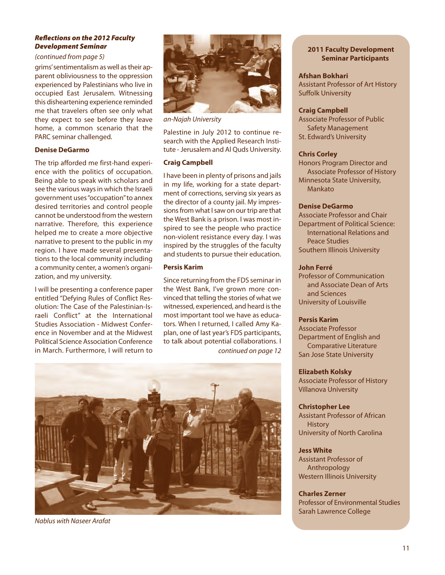#### *Reflections on the 2012 Faculty Development Seminar*

#### *(continued from page 5)*

grims'sentimentalism as well as their apparent obliviousness to the oppression experienced by Palestinians who live in occupied East Jerusalem. Witnessing this disheartening experience reminded me that travelers often see only what they expect to see before they leave home, a common scenario that the PARC seminar challenged.

#### **Denise DeGarmo**

The trip afforded me first-hand experience with the politics of occupation. Being able to speak with scholars and see the various ways in which the Israeli government uses"occupation"to annex desired territories and control people cannot be understood from the western narrative. Therefore, this experience helped me to create a more objective narrative to present to the public in my region. I have made several presentations to the local community including a community center, a women's organization, and my university.

I will be presenting a conference paper entitled "Defying Rules of Conflict Resolution: The Case of the Palestinian-Israeli Conflict" at the International Studies Association - Midwest Conference in November and at the Midwest Political Science Association Conference in March. Furthermore, I will return to



*an-Najah University*

Palestine in July 2012 to continue research with the Applied Research Institute - Jerusalem and Al Quds University.

#### **Craig Campbell**

I have been in plenty of prisons and jails in my life, working for a state department of corrections, serving six years as the director of a county jail. My impressions from what I saw on our trip are that the West Bank is a prison. I was most inspired to see the people who practice non-violent resistance every day. I was inspired by the struggles of the faculty and students to pursue their education.

#### **Persis Karim**

*continued on page 12* Since returning from the FDS seminar in the West Bank, I've grown more convinced that telling the stories of what we witnessed, experienced, and heard is the most important tool we have as educators. When I returned, I called Amy Kaplan, one of last year's FDS participants, to talk about potential collaborations. I



*Nablus with Naseer Arafat*

#### **2011 Faculty Development Seminar Participants**

#### **Afshan Bokhari**

Assistant Professor of Art History Suffolk University

#### **Craig Campbell**

Associate Professor of Public Safety Management St. Edward's University

#### **Chris Corley**

Honors Program Director and Associate Professor of History Minnesota State University, Mankato

#### **Denise DeGarmo**

Associate Professor and Chair Department of Political Science: International Relations and Peace Studies Southern Illinois University

#### **John Ferré**

Professor of Communication and Associate Dean of Arts and Sciences University of Louisville

#### **Persis Karim**

Associate Professor Department of English and Comparative Literature San Jose State University

#### **Elizabeth Kolsky**

Associate Professor of History Villanova University

#### **Christopher Lee**

Assistant Professor of African **History** University of North Carolina

#### **Jess White**

Assistant Professor of Anthropology Western Illinois University

#### **Charles Zerner**

Professor of Environmental Studies Sarah Lawrence College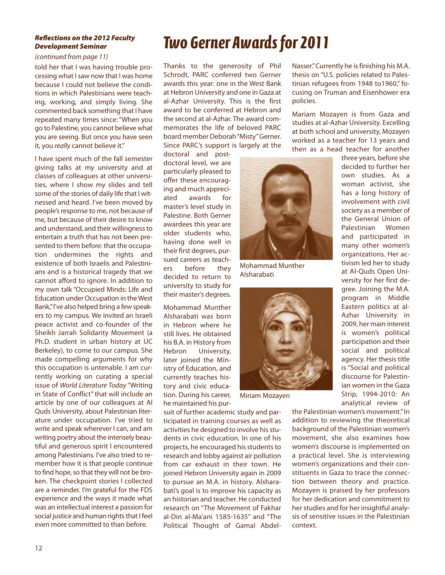#### *Reflections on the 2012 Faculty Development Seminar*

#### *(continued from page 11)*

told her that I was having trouble processing what I saw now that I was home because I could not believe the conditions in which Palestinians were teaching, working, and simply living. She commented back something that I have repeated many times since: "When you go to Palestine, you cannot believe what you are seeing. But once you have seen it, you *really* cannot believe it."

I have spent much of the fall semester giving talks at my university and at classes of colleagues at other universities, where I show my slides and tell some of the stories of daily life that I witnessed and heard. I've been moved by people's response to me, not because of me, but because of their desire to know and understand, and their willingness to entertain a truth that has not been presented to them before: that the occupation undermines the rights and existence of both Israelis and Palestinians and is a historical tragedy that we cannot afford to ignore. In addition to my own talk "Occupied Minds: Life and Education under Occupation in the West Bank,"I've also helped bring a few speakers to my campus. We invited an Israeli peace activist and co-founder of the Sheikh Jarrah Solidarity Movement (a Ph.D. student in urban history at UC Berkeley), to come to our campus. She made compelling arguments for why this occupation is untenable. I am currently working on curating a special issue of *World Literature Today* "Writing in State of Conflict" that will include an article by one of our colleagues at Al Quds University, about Palestinian literature under occupation. I've tried to write and speak wherever I can, and am writing poetry about the intensely beautiful and generous spirit I encountered among Palestinians. I've also tried to remember how it is that people continue to find hope, so that they will not be broken. The checkpoint stories I collected are a reminder. I'm grateful for the FDS experience and the ways it made what was an intellectual interest a passion for social justice and human rights that I feel even more committed to than before.

## *Two Gerner Awards for 2011*

Thanks to the generosity of Phil Schrodt, PARC conferred two Gerner awards this year: one in the West Bank at Hebron University and one in Gaza at al-Azhar University. This is the first award to be conferred at Hebron and the second at al-Azhar. The award commemorates the life of beloved PARC board member Deborah"Misty"Gerner. Since PARC's support is largely at the

doctoral and postdoctoral level, we are particularly pleased to offer these encouraging and much appreciated awards for master's level study in Palestine. Both Gerner awardees this year are older students who, having done well in their first degrees, pursued careers as teachers before they decided to return to university to study for their master's degrees.

Mohammad Munther Alsharabati was born in Hebron where he still lives. He obtained his B.A. in History from Hebron University, later joined the Ministry of Education, and currently teaches history and civic education. During his career, he maintained his pur-

suit of further academic study and participated in training courses as well as activities he designed to involve his students in civic education. In one of his projects, he encouraged his students to research and lobby against air pollution from car exhaust in their town. He joined Hebron University again in 2009 to pursue an M.A. in history. Alsharabati's goal is to improve his capacity as an historian and teacher. He conducted research on "The Movement of Fakhar al-Din al-Ma'ani 1585-1635" and "The Political Thought of Gamal AbdelNasser."Currently he is finishing his M.A. thesis on "U.S. policies related to Palestinian refugees from 1948 to1960," focusing on Truman and Eisenhower era policies.

Mariam Mozayen is from Gaza and studies at al-Azhar University. Excelling at both school and university, Mozayen worked as a teacher for 13 years and then as a head teacher for another



Mohammad Munther Alsharabati



Miriam Mozayen

three years, before she decided to further her own studies. As a woman activist, she has a long history of involvement with civil society as a member of the General Union of Palestinian Women and participated in many other women's organizations. Her activism led her to study at Al-Quds Open University for her first degree. Joining the M.A. program in Middle Eastern politics at al-Azhar University in 2009, her main interest is women's political participation and their social and political agency. Her thesis title is "Social and political discourse for Palestinian women in the Gaza Strip, 1994-2010: An analytical review of

the Palestinian women's movement." In addition to reviewing the theoretical background of the Palestinian women's movement, she also examines how women's discourse is implemented on a practical level. She is interviewing women's organizations and their constituents in Gaza to trace the connection between theory and practice. Mozayen is praised by her professors for her dedication and commitment to her studies and for her insightful analysis of sensitive issues in the Palestinian context.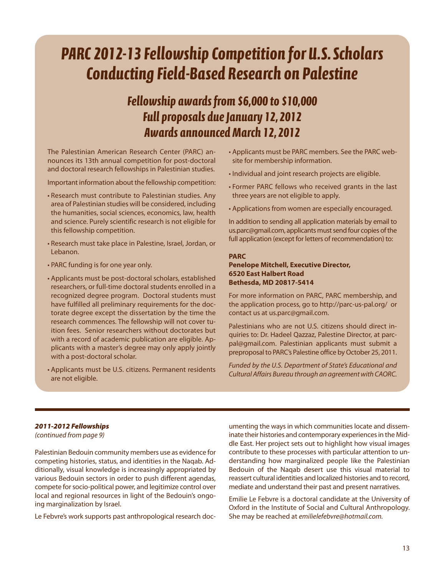## *PARC 2012-13 Fellowship Competition for U.S. Scholars Conducting Field-Based Research on Palestine*

## *Fellowship awards from \$6,000 to \$10,000 Full proposals due January 12, 2012 Awards announced March 12, 2012*

The Palestinian American Research Center (PARC) announces its 13th annual competition for post-doctoral and doctoral research fellowships in Palestinian studies.

Important information about the fellowship competition:

- Research must contribute to Palestinian studies. Any area of Palestinian studies will be considered, including the humanities, social sciences, economics, law, health and science. Purely scientific research is not eligible for this fellowship competition.
- Research must take place in Palestine, Israel, Jordan, or Lebanon.
- PARC funding is for one year only.
- Applicants must be post-doctoral scholars, established researchers, or full-time doctoral students enrolled in a recognized degree program. Doctoral students must have fulfilled all preliminary requirements for the doctorate degree except the dissertation by the time the research commences. The fellowship will not cover tuition fees. Senior researchers without doctorates but with a record of academic publication are eligible. Applicants with a master's degree may only apply jointly with a post-doctoral scholar.
- Applicants must be U.S. citizens. Permanent residents are not eligible.
- Applicants must be PARC members. See the PARC website for membership information.
- Individual and joint research projects are eligible.
- Former PARC fellows who received grants in the last three years are not eligible to apply.
- Applications from women are especially encouraged.

In addition to sending all application materials by email to us.parc@gmail.com, applicants must send four copies of the full application (except for letters of recommendation) to:

#### **PARC**

#### **Penelope Mitchell, Executive Director, 6520 East Halbert Road Bethesda, MD 20817-5414**

For more information on PARC, PARC membership, and the application process, go to http://parc-us-pal.org/ or contact us at us.parc@gmail.com.

Palestinians who are not U.S. citizens should direct inquiries to: Dr. Hadeel Qazzaz, Palestine Director, at parcpal@gmail.com. Palestinian applicants must submit a preproposal to PARC's Palestine office by October 25, 2011.

*Funded by the U.S. Department of State's Educational and Cultural Affairs Bureau through an agreement with CAORC.*

#### *2011-2012 Fellowships*

*(continued from page 9)*

Palestinian Bedouin community members use as evidence for competing histories, status, and identities in the Naqab. Additionally, visual knowledge is increasingly appropriated by various Bedouin sectors in order to push different agendas, compete for socio-political power, and legitimize control over local and regional resources in light of the Bedouin's ongoing marginalization by Israel.

Le Febvre's work supports past anthropological research doc-

umenting the ways in which communities locate and disseminate their histories and contemporary experiences in the Middle East. Her project sets out to highlight how visual images contribute to these processes with particular attention to understanding how marginalized people like the Palestinian Bedouin of the Naqab desert use this visual material to reassert cultural identities and localized histories and to record, mediate and understand their past and present narratives.

Emilie Le Febvre is a doctoral candidate at the University of Oxford in the Institute of Social and Cultural Anthropology. She may be reached at *emilielefebvre@hotmail.com.*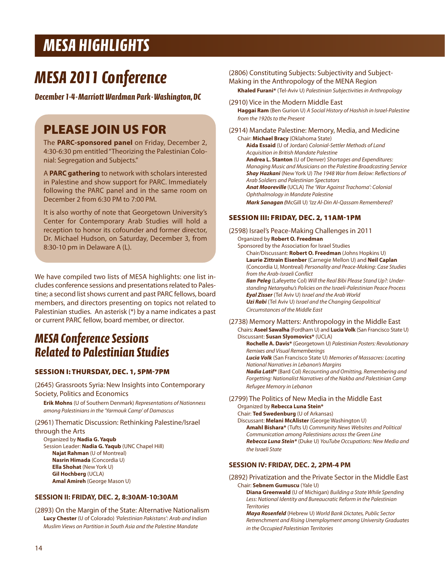## *MeSA HIGHLIGHTS*

## *MeSA 2011 Conference*

*December 1-4-Marriott wardman Park-washington, DC*

## **PLEASE JOIN US FOR**

The **PARC-sponsored panel** on Friday, December 2, 4:30-6:30 pm entitled "Theorizing the Palestinian Colonial: Segregation and Subjects."

A **PARC gathering** to network with scholars interested in Palestine and show support for PARC. Immediately following the PARC panel and in the same room on December 2 from 6:30 PM to 7:00 PM.

It is also worthy of note that Georgetown University's Center for Contemporary Arab Studies will hold a reception to honor its cofounder and former director, Dr. Michael Hudson, on Saturday, December 3, from 8:30-10 pm in Delaware A (L).

We have compiled two lists of MESA highlights: one list includes conference sessions and presentations related to Palestine; a second list shows current and past PARC fellows, board members, and directors presenting on topics not related to Palestinian studies. An asterisk (\*) by a name indicates a past or current PARC fellow, board member, or director.

## *MeSA Conference Sessions Related to Palestinian Studies*

#### **SESSION I: THURSDAY, DEC. 1, 5PM-7PM**

(2645) Grassroots Syria: New Insights into Contemporary Society, Politics and Economics

**Erik Mohns** (U of Southern Denmark) *Representations of Nationness among Palestinians in the 'Yarmouk Camp' of Damascus*

#### (2961) Thematic Discussion: Rethinking Palestine/Israel

through the Arts

Organized by **Nadia G. Yaqub** Session Leader: **Nadia G. Yaqub** (UNC Chapel Hill) **Najat Rahman** (U of Montreal) **Nasrin Himada** (Concordia U) **Ella Shohat** (New York U) **Gil Hochberg** (UCLA) **Amal Amireh** (George Mason U)

#### **SESSION II: FRIDAY, DEC. 2, 8:30AM-10:30AM**

(2893) On the Margin of the State: Alternative Nationalism **Lucy Chester** (U of Colorado) *'Palestinian Pakistans': Arab and Indian Muslim Views on Partition in South Asia and the Palestine Mandate*

(2806) Constituting Subjects: Subjectivity and Subject-Making in the Anthropology of the MENA Region

**Khaled Furani\*** (Tel-Aviv U) *Palestinian Subjectivities in Anthropology*

(2910) Vice in the Modern Middle East **Haggai Ram** (Ben Gurion U) *A Social History of Hashish in Israel-Palestine from the 1920s to the Present*

(2914) Mandate Palestine: Memory, Media, and Medicine Chair: **Michael Bracy** (Oklahoma State) **Aida Essaid** (U of Jordan) *Colonial-Settler Methods of Land Acquisition in British Mandate Palestine* **Andrea L. Stanton** (U of Denver) *Shortages and Expenditures: Managing Music and Musicians on the Palestine Broadcasting Service Shay Hazkani* (New York U) *The 1948 War from Below: Reflections of Arab Soldiers and Palestinian Spectators Anat Mooreville* (UCLA) *The 'War Against Trachoma': Colonial Ophthalmology in Mandate Palestine Mark Sanagan (*McGill U) *'Izz Al-Din Al-Qassam Remembered?*

#### **SESSION III: FRIDAY, DEC. 2, 11AM-1PM**

- (2598) Israel's Peace-Making Challenges in 2011 Organized by **Robert O. Freedman** Sponsored by the Association for Israel Studies Chair/Discussant: **Robert O. Freedman** (Johns Hopkins U) **Laurie Zittrain Eisenber** (Carnegie Mellon U) and **Neil Caplan** (Concordia U, Montreal) *Personality and Peace-Making: Case Studies from the Arab-Israeli Conflict Ilan Peleg* (Lafeyette Col) *Will the Real Bibi Please Stand Up?: Understanding Netanyahu's Policies on the Israeli-Palestinian Peace Process Eyal Zisser* (Tel Aviv U) *Israel and the Arab World Uzi Rabi* (Tel Aviv U) *Israel and the Changing Geopolitical Circumstances of the Middle East* (2738) Memory Matters: Anthropology in the Middle East
- Chairs: **Aseel Sawalha** (Fordham U) and **Lucia Volk** (San Francisco State U) Discussant: **Susan Slyomovics\*** (UCLA)

**Rochelle A. Davis\*** (Georgetown U) *Palestinian Posters: Revolutionary Remixes and Visual Rememberings Lucia Volk* (San Francisco State U) *Memories of Massacres: Locating National Narratives in Lebanon's Margins*

*Nadia Latif\** (Bard Col) *Recounting and Omitting, Remembering and Forgetting: Nationalist Narratives of the Nakba and Palestinian Camp Refugee Memory in Lebanon*

(2799) The Politics of New Media in the Middle East Organized by **Rebecca Luna Stein\***

Chair: **Ted Swedenburg** (U of Arkansas) Discussant: **Melani McAlister** (George Washington U) **Amahl Bishara\*** (Tufts U) *Community News Websites and Political Communication among Palestinians across the Green Line Rebecca Luna Stein\** (Duke U) *YouTube Occupations: New Media and the Israeli State*

#### **SESSION IV: FRIDAY, DEC. 2, 2PM-4 PM**

(2892) Privatization and the Private Sector in the Middle East Chair: **Sebnem Gumuscu** (Yale U)

**Diana Greenwald** (U of Michigan) *Building a State While Spending Less: National Identity and Bureaucratic Reform in the Palestinian Territories*

*Maya Rosenfeld* (Hebrew U) *World Bank Dictates, Public Sector Retrenchment and Rising Unemployment among University Graduates in the Occupied Palestinian Territories*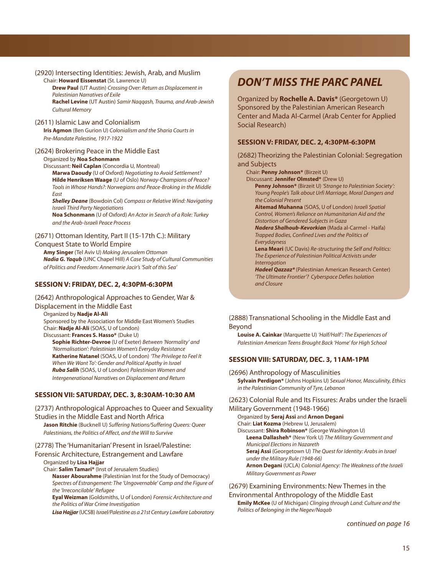#### (2920) Intersecting Identities: Jewish, Arab, and Muslim Chair: **Howard Eissenstat** (St. Lawrence U) **Drew Paul** (UT Austin) *Crossing Over: Return as Displacement in Palestinian Narratives of Exile* **Rachel Levine** (UT Austin) *Samir Naqqash, Trauma, and Arab-Jewish Cultural Memory* (2611) Islamic Law and Colonialism **Iris Agmon** (Ben Gurion U) *Colonialism and the Sharia Courts in*

*Pre-Mandate Palestine, 1917-1922*

#### (2624) Brokering Peace in the Middle East Organized by **Noa Schonmann**

Discussant: **Neil Caplan** (Concordia U, Montreal) **Marwa Daoudy** (U of Oxford) *Negotiating to Avoid Settlement?* **Hilde Henriksen Waage** (U of Oslo) *Norway-Champions of Peace? Tools in Whose Hands?: Norwegians and Peace-Broking in the Middle East*

*Shelley Deane* (Bowdoin Col) *Compass or Relative Wind: Navigating Israeli Third Party Negotiations* **Noa Schonmann** (U of Oxford) *An Actor in Search of a Role: Turkey*

*and the Arab-Israeli Peace Process*

#### (2671) Ottoman Identity, Part II (15-17th C.): Military

#### Conquest State to World Empire

**Amy Singer** (Tel Aviv U) *Making Jerusalem Ottoman Nadia G. Yaqub* (UNC Chapel Hill) *A Case Study of Cultural Communities of Politics and Freedom: Annemarie Jacir's 'Salt of this Sea'*

#### **SESSION V: FRIDAY, DEC. 2, 4:30PM-6:30PM**

#### (2642) Anthropological Approaches to Gender, War & Displacement in the Middle East

Organized by **Nadje Al-Ali** Sponsored by the Association for Middle East Women's Studies Chair: **Nadje Al-Ali** (SOAS, U of London) Discussant: **Frances S. Hasso\*** (Duke U) **Sophie Richter-Devroe** (U of Exeter) *Between 'Normality' and 'Normalisation': Palestinian Women's Everyday Resistance*

**Katherine Natanel** (SOAS, U of London) *'The Privilege to Feel It When We Want To': Gender and Political Apathy in Israel Ruba Salih* (SOAS, U of London) *Palestinian Women and Intergenerational Narratives on Displacement and Return*

#### **SESSION VII: SATURDAY, DEC. 3, 8:30AM-10:30 AM**

(2737) Anthropological Approaches to Queer and Sexuality Studies in the Middle East and North Africa **Jason Ritchie** (Bucknell U) *Suffering Nations/Suffering Queers: Queer*

*Palestinians, the Politics of Affect, and the Will to Survive*

#### (2778) The 'Humanitarian' Present in Israel/Palestine:

#### Forensic Architecture, Estrangement and Lawfare Organized by **Lisa Hajjar**

Chair: **Salim Tamari\*** (Inst of Jerusalem Studies)

**Nasser Abourahme** (Palestinian Inst for the Study of Democracy) *Spectres of Estrangement: The 'Ungovernable' Camp and the Figure of the 'Irreconcilable' Refugee*

**Eyal Weizman** (Goldsmiths, U of London) *Forensic Architecture and the Politics of War Crime Investigation*

*Lisa Hajjar*(UCSB) *Israel/Palestine as a 21st Century Lawfare Laboratory*

## *DON'T MISS THE PARC PANEL*

Organized by **Rochelle A. Davis\*** (Georgetown U) Sponsored by the Palestinian American Research Center and Mada Al-Carmel (Arab Center for Applied Social Research)

#### **SESSION V: FRIDAY, DEC. 2, 4:30PM-6:30PM**

(2682) Theorizing the Palestinian Colonial: Segregation and Subjects

Chair: **Penny Johnson\*** (Birzeit U)

Discussant: **Jennifer Olmsted\*** (Drew U) **Penny Johnson\*** (Birzeit U) *'Strange to Palestinian Society': Young People's Talk about Urfi Marriage, Moral Dangers and the Colonial Present*

**Aitemad Muhanna** (SOAS, U of London) *Israeli Spatial Control, Women's Reliance on Humanitarian Aid and the Distortion of Gendered Subjects in Gaza*

*Nadera Shalhoub-Kevorkian* (Mada al-Carmel - Haifa) *Trapped Bodies, Confined Lives and the Politics of Everydayness*

**Lena Meari** (UC Davis) *Re-structuring the Self and Politics: The Experience of Palestinian Political Activists under Interrogation*

*Hadeel Qazzaz\** (Palestinian American Research Center) *'The Ultimate Frontier'? Cyberspace Defies Isolation and Closure*

#### (2888) Transnational Schooling in the Middle East and Beyond

**Louise A. Cainkar** (Marquette U) *'Half/Half': The Experiences of Palestinian American Teens Brought Back 'Home' for High School*

#### **SESSION VIII: SATURDAY, DEC. 3, 11AM-1PM**

(2696) Anthropology of Masculinities

**Sylvain Perdigon\*** (Johns Hopkins U) *Sexual Honor, Masculinity, Ethics in the Palestinian Community of Tyre, Lebanon*

(2623) Colonial Rule and Its Fissures: Arabs under the Israeli Military Government (1948-1966)

Organized by **Seraj Assi** and **Arnon Degani** Chair: **Liat Kozma** (Hebrew U, Jerusalem) Discussant: **Shira Robinson\*** (George Washington U) **Leena Dallasheh\*** (New York U) *The Military Government and*

*Municipal Elections in Nazareth* **Seraj Assi** (Georgetown U) *The Quest for Identity: Arabs in Israel under the Military Rule (1948-66)* **Arnon Degani** (UCLA) *Colonial Agency: The Weakness of the Israeli Military Government as Power*

### (2679) Examining Environments: New Themes in the Environmental Anthropology of the Middle East

**Emily McKee** (U of Michigan) *Clinging through Land: Culture and the Politics of Belonging in the Negev/Naqab*

*continued on page 16*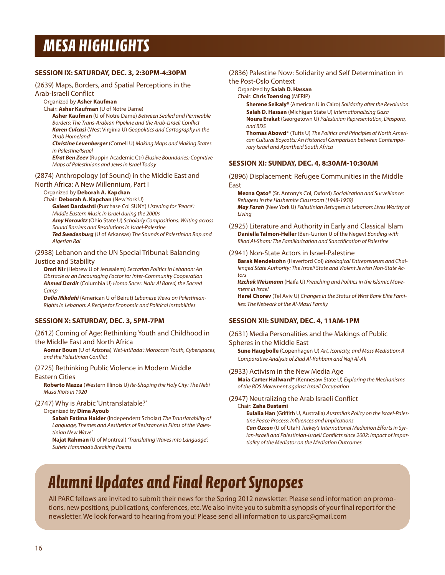## *MeSA HIGHLIGHTS*

#### **SESSION IX: SATURDAY, DEC. 3, 2:30PM-4:30PM**

#### (2639) Maps, Borders, and Spatial Perceptions in the Arab-Israeli Conflict

#### Organized by **Asher Kaufman**

Chair: **Asher Kaufman** (U of Notre Dame)

**Asher Kaufman** (U of Notre Dame) *Between Sealed and Permeable Borders: The Trans-Arabian Pipeline and the Arab-Israeli Conflict Karen Culcasi* (West Virginia U) *Geopolitics and Cartography in the 'Arab Homeland'*

*Christine Leuenberger* (Cornell U) *Making Maps and Making States in Palestine/Israel*

*Efrat Ben Zeev* (Ruppin Academic Ctr) *Elusive Boundaries: Cognitive Maps of Palestinians and Jews in Israel Today*

#### (2874) Anthropology (of Sound) in the Middle East and

#### North Africa: A New Millennium, Part I

Organized by **Deborah A. Kapchan**

Chair: **Deborah A. Kapchan** (New York U)

**Galeet Dardashti** (Purchase Col SUNY) *Listening for 'Peace': Middle Eastern Music in Israel during the 2000s*

*Amy Horowitz* (Ohio State U) *Scholarly Compositions: Writing across Sound Barriers and Resolutions in Israel-Palestine*

*Ted Swedenburg* (U of Arkansas) *The Sounds of Palestinian Rap and Algerian Rai*

#### (2938) Lebanon and the UN Special Tribunal: Balancing Justice and Stability

**Omri Nir** (Hebrew U of Jerusalem) *Sectarian Politics in Lebanon: An Obstacle or an Encouraging Factor for Inter-Community Cooperation Ahmed Dardir* (Columbia U) *Homo Sacer: Nahr Al Bared, the Sacred Camp*

*Dalia Mikdahi* (American U of Beirut) *Lebanese Views on Palestinian-Rights in Lebanon: A Recipe for Economic and Political Instabilities*

#### **SESSION X: SATURDAY, DEC. 3, 5PM-7PM**

#### (2612) Coming of Age: Rethinking Youth and Childhood in the Middle East and North Africa

**Aomar Boum** (U of Arizona) *'Net-Intifada': Moroccan Youth, Cyberspaces, and the Palestinian Conflict*

#### (2725) Rethinking Public Violence in Modern Middle

#### Eastern Cities

**Roberto Mazza** (Western Illinois U) *Re-Shaping the Holy City: The Nebi Musa Riots in 1920*

#### (2747) Why is Arabic 'Untranslatable?'

#### Organized by **Dima Ayoub**

**Sabah Fatima Haider** (Independent Scholar) *The Translatability of Language, Themes and Aesthetics of Resistance in Films of the 'Palestinian New Wave'*

**Najat Rahman** (U of Montreal) *'Translating Waves into Language': Suheir Hammad's Breaking Poems*

#### (2836) Palestine Now: Solidarity and Self Determination in the Post-Oslo Context

#### Organized by **Salah D. Hassan**

Chair: **Chris Toensing** (MERIP)

**Sherene Seikaly\*** (American U in Cairo) *Solidarity after the Revolution* **Salah D. Hassan** (Michigan State U) *Internationalizing Gaza* **Noura Erakat** (Georgetown U) *Palestinian Representation, Diaspora, and BDS*

**Thomas Abowd\*** (Tufts U) *The Politics and Principles of North American Cultural Boycotts: An Historical Comparison between Contemporary Israel and Apartheid South Africa*

#### **SESSION XI: SUNDAY, DEC. 4, 8:30AM-10:30AM**

(2896) Displacement: Refugee Communities in the Middle East

**Mezna Qato\*** (St. Antony's Col, Oxford) *Socialization and Surveillance: Refugees in the Hashemite Classroom (1948-1959) May Farah* (New York U) *Palestinian Refugees in Lebanon: Lives Worthy of Living*

(2925) Literature and Authority in Early and Classical Islam **Daniella Talmon-Heller** (Ben-Gurion U of the Negev) *Bonding with Bilad Al-Sham: The Familiarization and Sanctification of Palestine*

#### (2941) Non-State Actors in Israel-Palestine

**Barak Mendelsohn** (Haverford Col) *Ideological Entrepreneurs and Challenged State Authority: The Israeli State and Violent Jewish Non-State Actors*

*Itzchak Weismann* (Haifa U) *Preaching and Politics in the Islamic Movement in Israel*

**Harel Chorev** (Tel Aviv U) *Changes in the Status of West Bank Elite Families: The Network of the Al-Masri Family*

#### **SESSION XII: SUNDAY, DEC. 4, 11AM-1PM**

#### (2631) Media Personalities and the Makings of Public Spheres in the Middle East

**Sune Haugbolle** (Copenhagen U) *Art, Iconicity, and Mass Mediation: A Comparative Analysis of Ziad Al-Rahbani and Naji Al-Ali*

#### (2933) Activism in the New Media Age

**Maia Carter Hallward\*** (Kennesaw State U) *Exploring the Mechanisms of the BDS Movement against Israeli Occupation*

### (2947) Neutralizing the Arab Israeli Conflict

Chair: **Zaha Bustami**

**Eulalia Han** (Griffith U, Australia) *Australia's Policy on the Israel-Palestine Peace Process: Influences and Implications Can Ozcan* (U of Utah) *Turkey's International Mediation Efforts in Syr-*

*ian-Israeli and Palestinian-Israeli Conflicts since 2002: Impact of Impartiality of the Mediator on the Mediation Outcomes*

## *Alumni Updates and Final Report Synopses*

All PARC fellows are invited to submit their news for the Spring 2012 newsletter. Please send information on promotions, new positions, publications, conferences, etc. We also invite you to submit a synopsis of your final report for the newsletter. We look forward to hearing from you! Please send all information to us.parc@gmail.com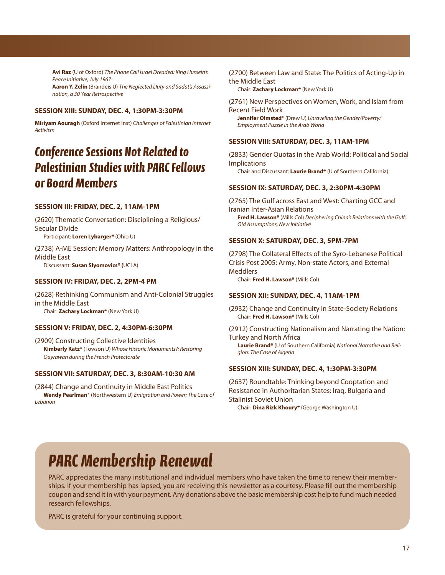**Avi Raz** (U of Oxford) *The Phone Call Israel Dreaded: King Hussein's Peace Initiative, July 1967*

**Aaron Y. Zelin** (Brandeis U) *The Neglected Duty and Sadat's Assassination, a 30 Year Retrospective*

#### **SESSION XIII: SUNDAY, DEC. 4, 1:30PM-3:30PM**

**Miriyam Aouragh** (Oxford Internet Inst) *Challenges of Palestinian Internet Activism*

## *Conference Sessions Not Related to Palestinian Studies with PARC Fellows or Board Members*

#### **SESSION III: FRIDAY, DEC. 2, 11AM-1PM**

(2620) Thematic Conversation: Disciplining a Religious/ Secular Divide Participant: **Loren Lybarger\*** (Ohio U)

(2738) A-ME Session: Memory Matters: Anthropology in the Middle East Discussant: **Susan Slyomovics\* (**UCLA)

#### **SESSION IV: FRIDAY, DEC. 2, 2PM-4 PM**

(2628) Rethinking Communism and Anti-Colonial Struggles in the Middle East Chair: **Zachary Lockman\*** (New York U)

#### **SESSION V: FRIDAY, DEC. 2, 4:30PM-6:30PM**

(2909) Constructing Collective Identities **Kimberly Katz\*** (Towson U) *Whose Historic Monuments?: Restoring Qayrawan during the French Protectorate*

#### **SESSION VII: SATURDAY, DEC. 3, 8:30AM-10:30 AM**

(2844) Change and Continuity in Middle East Politics **Wendy Pearlman**\* (Northwestern U) *Emigration and Power: The Case of Lebanon*

(2700) Between Law and State: The Politics of Acting-Up in the Middle East

Chair: **Zachary Lockman\*** (New York U)

(2761) New Perspectives on Women, Work, and Islam from Recent Field Work **Jennifer Olmsted**\* (Drew U) *Unraveling the Gender/Poverty/*

*Employment Puzzle in the Arab World*

#### **SESSION VIII: SATURDAY, DEC. 3, 11AM-1PM**

(2833) Gender Quotas in the Arab World: Political and Social Implications

Chair and Discussant: **Laurie Brand\*** (U of Southern California)

#### **SESSION IX: SATURDAY, DEC. 3, 2:30PM-4:30PM**

(2765) The Gulf across East and West: Charting GCC and Iranian Inter-Asian Relations **Fred H. Lawson\*** (Mills Col) *Deciphering China's Relations with the Gulf: Old Assumptions, New Initiative*

#### **SESSION X: SATURDAY, DEC. 3, 5PM-7PM**

(2798) The Collateral Effects of the Syro-Lebanese Political Crisis Post 2005: Army, Non-state Actors, and External **Meddlers** Chair: **Fred H. Lawson\*** (Mills Col)

#### **SESSION XII: SUNDAY, DEC. 4, 11AM-1PM**

(2932) Change and Continuity in State-Society Relations Chair: **Fred H. Lawson\*** (Mills Col)

(2912) Constructing Nationalism and Narrating the Nation: Turkey and North Africa

**Laurie Brand\*** (U of Southern California) *National Narrative and Religion: The Case of Algeria*

#### **SESSION XIII: SUNDAY, DEC. 4, 1:30PM-3:30PM**

(2637) Roundtable: Thinking beyond Cooptation and Resistance in Authoritarian States: Iraq, Bulgaria and Stalinist Soviet Union

Chair: **Dina Rizk Khoury\*** (George Washington U)

## *PARC Membership Renewal*

PARC appreciates the many institutional and individual members who have taken the time to renew their memberships. If your membership has lapsed, you are receiving this newsletter as a courtesy. Please fill out the membership coupon and send it in with your payment. Any donations above the basic membership cost help to fund much needed research fellowships.

PARC is grateful for your continuing support.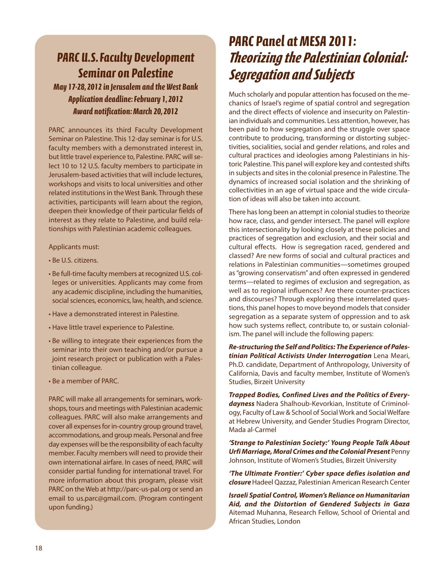## *PARC U.S. Faculty Development Seminar on Palestine*

*May 17-28, 2012 in Jerusalem and the west Bank Application deadline: February 1, 2012 Award notification: March 20, 2012*

PARC announces its third Faculty Development Seminar on Palestine. This 12-day seminar is for U.S. faculty members with a demonstrated interest in, but little travel experience to, Palestine. PARC will select 10 to 12 U.S. faculty members to participate in Jerusalem-based activities that will include lectures, workshops and visits to local universities and other related institutions in the West Bank. Through these activities, participants will learn about the region, deepen their knowledge of their particular fields of interest as they relate to Palestine, and build relationships with Palestinian academic colleagues.

Applicants must:

- Be U.S. citizens.
- Be full-time faculty members at recognized U.S. colleges or universities. Applicants may come from any academic discipline, including the humanities, social sciences, economics, law, health, and science.
- Have a demonstrated interest in Palestine.
- Have little travel experience to Palestine.
- Be willing to integrate their experiences from the seminar into their own teaching and/or pursue a joint research project or publication with a Palestinian colleague.
- Be a member of PARC.

PARC will make all arrangements for seminars, workshops, tours and meetings with Palestinian academic colleagues. PARC will also make arrangements and cover all expenses for in-country group ground travel, accommodations, and group meals. Personal and free day expenses will be the responsibility of each faculty member. Faculty members will need to provide their own international airfare. In cases of need, PARC will consider partial funding for international travel. For more information about this program, please visit PARC on the Web at http://parc-us-pal.org or send an email to us.parc@gmail.com. (Program contingent upon funding.)

## *PARC Panel at MeSA 2011: Theorizing the Palestinian Colonial: Segregation and Subjects*

Much scholarly and popular attention has focused on the mechanics of Israel's regime of spatial control and segregation and the direct effects of violence and insecurity on Palestinian individuals and communities. Less attention, however, has been paid to how segregation and the struggle over space contribute to producing, transforming or distorting subjectivities, socialities, social and gender relations, and roles and cultural practices and ideologies among Palestinians in historic Palestine. This panel will explore key and contested shifts in subjects and sites in the colonial presence in Palestine. The dynamics of increased social isolation and the shrinking of collectivities in an age of virtual space and the wide circulation of ideas will also be taken into account.

There has long been an attempt in colonial studies to theorize how race, class, and gender intersect. The panel will explore this intersectionality by looking closely at these policies and practices of segregation and exclusion, and their social and cultural effects. How is segregation raced, gendered and classed? Are new forms of social and cultural practices and relations in Palestinian communities—sometimes grouped as "growing conservatism" and often expressed in gendered terms—related to regimes of exclusion and segregation, as well as to regional influences? Are there counter-practices and discourses? Through exploring these interrelated questions, this panel hopes to move beyond models that consider segregation as a separate system of oppression and to ask how such systems reflect, contribute to, or sustain colonialism. The panel will include the following papers:

*Re-structuring the Self and Politics: The Experience of Palestinian Political Activists Under Interrogation* Lena Meari, Ph.D. candidate, Department of Anthropology, University of California, Davis and faculty member, Institute of Women's Studies, Birzeit University

*Trapped Bodies, Confined Lives and the Politics of Everydayness* Nadera Shalhoub-Kevorkian, Institute of Criminology, Faculty of Law & School of Social Work and Social Welfare at Hebrew University, and Gender Studies Program Director, Mada al-Carmel

*'Strange to Palestinian Society:' Young People Talk About Urfi Marriage, Moral Crimes and the Colonial Present* Penny Johnson, Institute of Women's Studies, Birzeit University

*'The Ultimate Frontier:' Cyber space defies isolation and closure*Hadeel Qazzaz, Palestinian American Research Center

*Israeli Spatial Control, Women's Reliance on Humanitarian Aid, and the Distortion of Gendered Subjects in Gaza* Aitemad Muhanna, Research Fellow, School of Oriental and African Studies, London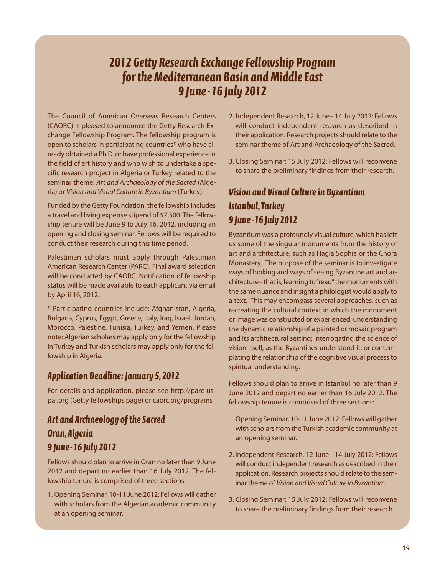## *2012 Getty Research exchange Fellowship Program for the Mediterranean Basin and Middle east 9 June-16 July 2012*

The Council of American Overseas Research Centers (CAORC) is pleased to announce the Getty Research Exchange Fellowship Program. The fellowship program is open to scholars in participating countries\* who have already obtained a Ph.D. or have professional experience in the field of art history and who wish to undertake a specific research project in Algeria or Turkey related to the seminar theme: *Art and Archaeology of the Sacred* (Algeria) or *Vision and Visual Culture in Byzantium* (Turkey).

Funded by the Getty Foundation, the fellowship includes a travel and living expense stipend of \$7,500. The fellowship tenure will be June 9 to July 16, 2012, including an opening and closing seminar. Fellows will be required to conduct their research during this time period.

Palestinian scholars must apply through Palestinian American Research Center (PARC). Final award selection will be conducted by CAORC. Notification of fellowship status will be made available to each applicant via email by April 16, 2012.

\* Participating countries include: Afghanistan, Algeria, Bulgaria, Cyprus, Egypt, Greece, Italy, Iraq, Israel, Jordan, Morocco, Palestine, Tunisia, Turkey, and Yemen. Please note: Algerian scholars may apply only for the fellowship in Turkey and Turkish scholars may apply only for the fellowship in Algeria.

### *Application Deadline: January 5, 2012*

For details and application, please see http://parc-uspal.org (Getty fellowships page) or caorc.org/programs

### *Art and Archaeology of the Sacred oran, Algeria 9 June-16 July 2012*

Fellows should plan to arrive in Oran no later than 9 June 2012 and depart no earlier than 16 July 2012. The fellowship tenure is comprised of three sections:

1. Opening Seminar, 10-11 June 2012: Fellows will gather with scholars from the Algerian academic community at an opening seminar.

- 2. Independent Research, 12 June 14 July 2012: Fellows will conduct independent research as described in their application. Research projects should relate to the seminar theme of Art and Archaeology of the Sacred.
- 3. Closing Seminar: 15 July 2012: Fellows will reconvene to share the preliminary findings from their research.

### *Vision and Visual Culture in Byzantium Istanbul,Turkey 9 June-16 July 2012*

Byzantium was a profoundly visual culture, which has left us some of the singular monuments from the history of art and architecture, such as Hagia Sophia or the Chora Monastery. The purpose of the seminar is to investigate ways of looking and ways of seeing Byzantine art and architecture - that is, learning to"read"the monuments with the same nuance and insight a philologist would apply to a text. This may encompass several approaches, such as recreating the cultural context in which the monument or image was constructed or experienced; understanding the dynamic relationship of a painted or mosaic program and its architectural setting; interrogating the science of vision itself, as the Byzantines understood it; or contemplating the relationship of the cognitive visual process to spiritual understanding.

Fellows should plan to arrive in Istanbul no later than 9 June 2012 and depart no earlier than 16 July 2012. The fellowship tenure is comprised of three sections:

- 1. Opening Seminar, 10-11 June 2012: Fellows will gather with scholars from the Turkish academic community at an opening seminar.
- 2. Independent Research, 12 June 14 July 2012: Fellows will conduct independent research as described in their application. Research projects should relate to the seminar theme of *Vision and Visual Culture in Byzantium.*
- 3. Closing Seminar: 15 July 2012: Fellows will reconvene to share the preliminary findings from their research.